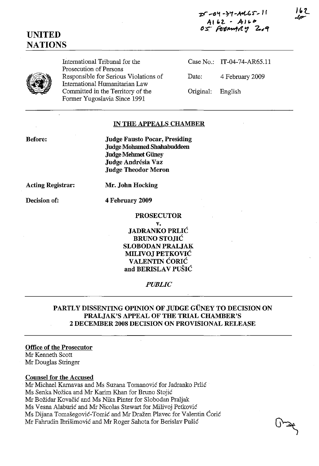-c9 -74-A4C5-11 A162 - A160 05 FEDMMAY 2019 162

# UNITED **NATIONS**

International Tribunal for the Prosecution of Persons Responsible for Serious Violations of International Humanitarian Law Committed in the Territory of the Former Yugoslavia Since 1991

Case No.: IT-04-74-AR65.11 Date: 4 February 2009 Original: English

#### IN THE APPEALS CHAMBER

Before:

Judge Fausto Pocar, Presiding Judge Mohamed Shahabuddeen Judge Mehmet Güney Judge Andrésia Vaz Judge Theodor Meron

Acting Registrar:

Mr. John Hocking

Decision of:

4 February 2009

## PROSECUTOR

v.

JADRANKO PRLIC **BRUNO STOJIĆ** SLOBODAN PRALJAK MILIVOJ PETKOVIC VALENTIN CORIC and BERISLAV PUSIC

*PUBLIC*

### PARTLY DISSENTING OPINION OF JUDGE GÜNEY TO DECISION ON PRALJAK'S APPEAL OF THE TRIAL CHAMBER'S 2 DECEMBER 2008 DECISION ON PROVISIONAL RELEASE

#### Office of the Prosecutor

Mr Kenneth Scott Mr Douglas Stringer

#### Counsel for the Accused

Mr Michael Karnavas and Ms Suzana Tomanovic for Jadranko Prlic Ms Senka Nozica and Mr Karim Khan for Bruno Stojic Mr Bozidar Kovacic and Ms Nika Pinter for Slobodan Praljak Ms Vesna Alaburic and Mr Nicolas Stewart for Milivoj Petkovic Ms Dijana Tomasegovic-Tomic and Mr Drazen Plavec for Valentin Coric Mr Fahrudin Ibrisimovic and Mr Roger Sahota for Berislav Pusic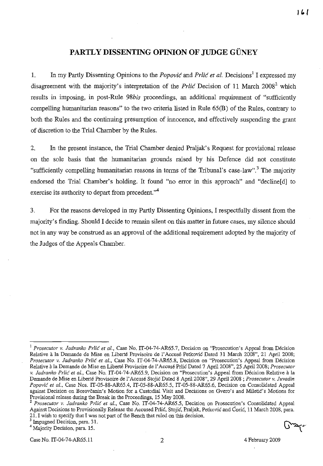## **PARTLY DISSENTING OPINION OF JUDGE GUNEY**

1. In my Partly Dissenting Opinions to the *Popovic* and *Prlic et at.* Decisions! I expressed my disagreement with the majority's interpretation of the *Prlic* Decision of 11 March 2008<sup>2</sup> which results in imposing, in post-Rule *98bis* proceedings, an additional requirement of "sufficiently compelling humanitarian reasons" to the two criteria listed in Rule 65(B) of the Rules, contrary to both the Rules and the continuing presumption of innocence, and effectively suspending the grant of discretion to the Trial Chamber by the Rules.

2. In the present instance, the Trial Chamber denied Praljak's Request for provisional release on the sole basis that the humanitarian grounds raised by his Defence did not constitute "sufficiently compelling humanitarian reasons in terms of the Tribunal's case-law".<sup>3</sup> The majority endorsed the Trial Chamber's holding. It found "no error in this approach" and "decline[d] to exercise its authority to depart from precedent."<sup>4</sup>

3. For the reasons developed in my Partly Dissenting Opinions, I respectfully dissent from the majority's finding. Should I decide to remain silent on this matter in future cases, my silence should not in any way be construed as an approval of the additional requirement adopted by the majority of the Judges of the Appeals Chamber.

<u> 161</u>

<sup>1</sup> *Prosecutor* v. *Jadranko Prlic et al.,* Case No. IT-04-74-AR65.7, Decision on "Prosecution's Appeal from Decision Relative ala Demande de Mise en Liberte Provisoire de I' Accuse Petkovic Dated 31 March 2008", 21 April 2008; *Prosecutor* v. *Jadranko Prlic et al.,* Case No. IT-04-74-AR65.8, Decision on "Prosecution's Appeal from Decision Relative ala Demande de Mise en Liberte Provisoire de I'Accuse Prlic Dated 7 April 2008", 25 April 2008; *Prosecutor v. Jadranko Prlić et al., Case No. IT-04-74-AR65.9, Decision on "Prosecution's Appeal from Décision Relative à la* Demande de Mise en Liberté Provisoire de l'Accusé Stojić Dated 8 April 2008", 29 April 2008 ; Prosecutor v. Juvadin *Popovic et al.,* Case Nos. IT-05-88-AR65.4, IT-05-88-AR65.5, IT-05-88-AR65.6, Decision on Consolidated Appeal **against Decision on** Borovcaniri's **Motion for a Custodial Visit and Decisions on Gvera's and** Miletic's **Motions for** Provisional release during the Break in the Proceedings, 15 May 2008.

<sup>2</sup> *Prosecutor v. Jadranko Prlic et ai.,* Case No. IT-04-74-AR65.5, Decision on Prosecution's Consolidated Appeal Against Decisions to Provisionally Release the Accused Prlić, Stojić, Praljak, Petković and Ćorić, 11 March 2008, para. 21. I wish to specify that I was not part of the Bench that ruled on this decision.

<sup>&</sup>lt;sup>3</sup> Impugned Decision, para. 31.

<sup>&</sup>lt;sup>4</sup> Majority Decision, para. 15.